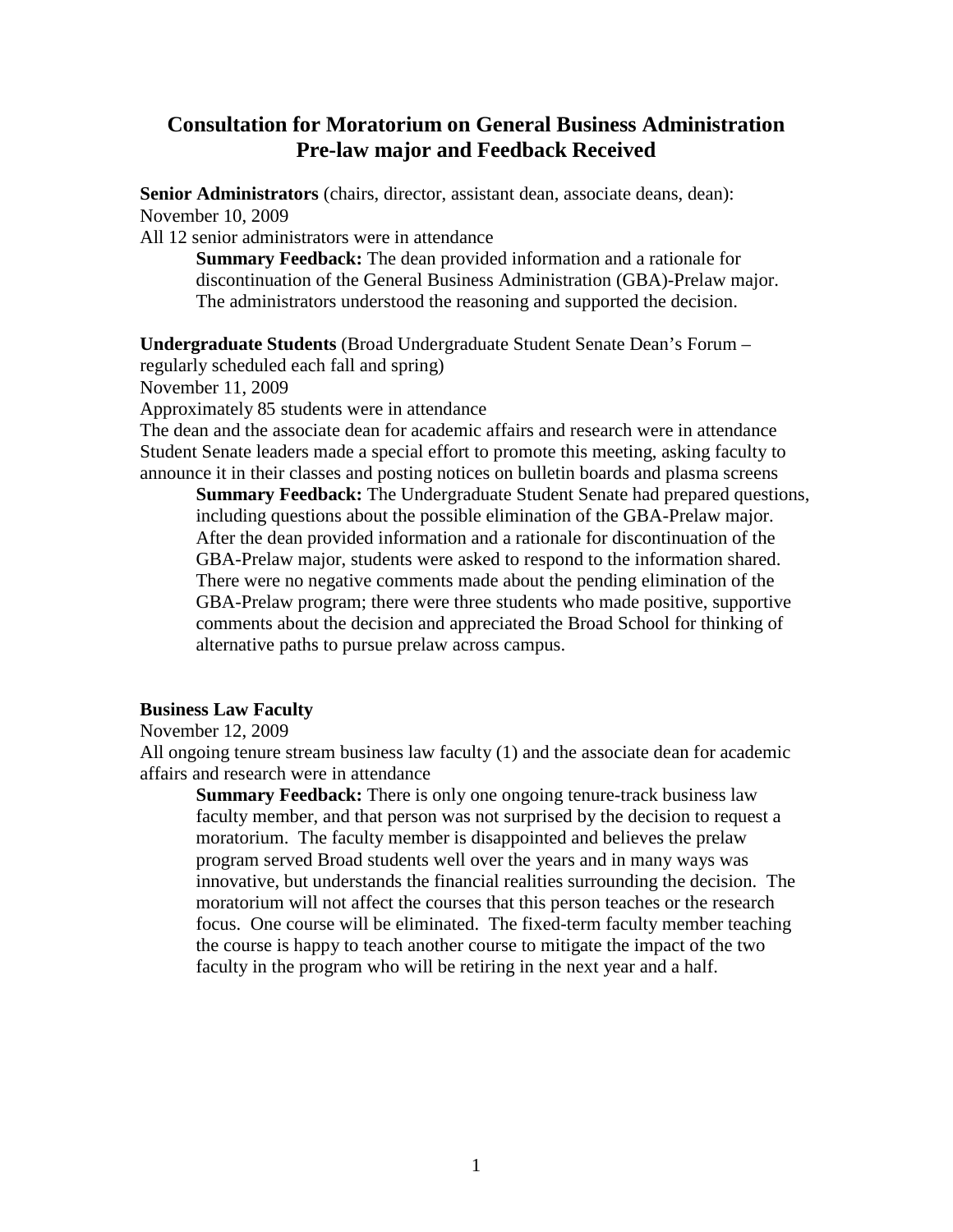# **Consultation for Moratorium on General Business Administration Pre-law major and Feedback Received**

**Senior Administrators** (chairs, director, assistant dean, associate deans, dean): November 10, 2009

All 12 senior administrators were in attendance

**Summary Feedback:** The dean provided information and a rationale for discontinuation of the General Business Administration (GBA)-Prelaw major. The administrators understood the reasoning and supported the decision.

**Undergraduate Students** (Broad Undergraduate Student Senate Dean's Forum –

regularly scheduled each fall and spring)

November 11, 2009

Approximately 85 students were in attendance

The dean and the associate dean for academic affairs and research were in attendance Student Senate leaders made a special effort to promote this meeting, asking faculty to announce it in their classes and posting notices on bulletin boards and plasma screens

**Summary Feedback:** The Undergraduate Student Senate had prepared questions, including questions about the possible elimination of the GBA-Prelaw major. After the dean provided information and a rationale for discontinuation of the GBA-Prelaw major, students were asked to respond to the information shared. There were no negative comments made about the pending elimination of the GBA-Prelaw program; there were three students who made positive, supportive comments about the decision and appreciated the Broad School for thinking of alternative paths to pursue prelaw across campus.

# **Business Law Faculty**

November 12, 2009

All ongoing tenure stream business law faculty (1) and the associate dean for academic affairs and research were in attendance

**Summary Feedback:** There is only one ongoing tenure-track business law faculty member, and that person was not surprised by the decision to request a moratorium. The faculty member is disappointed and believes the prelaw program served Broad students well over the years and in many ways was innovative, but understands the financial realities surrounding the decision. The moratorium will not affect the courses that this person teaches or the research focus. One course will be eliminated. The fixed-term faculty member teaching the course is happy to teach another course to mitigate the impact of the two faculty in the program who will be retiring in the next year and a half.